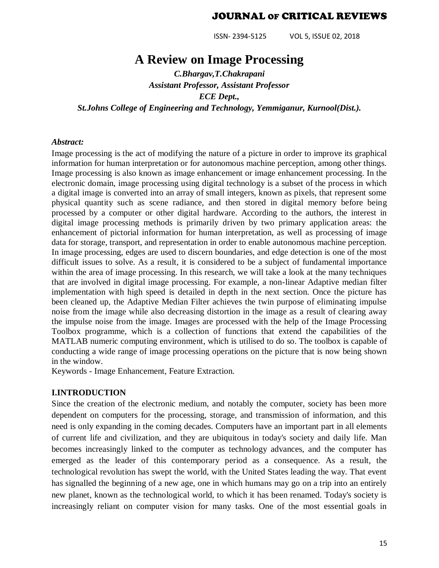ISSN- 2394-5125 VOL 5, ISSUE 02, 2018

# **A Review on Image Processing**

*C.Bhargav,T.Chakrapani Assistant Professor, Assistant Professor ECE Dept., St.Johns College of Engineering and Technology, Yemmiganur, Kurnool(Dist.).*

#### *Abstract:*

Image processing is the act of modifying the nature of a picture in order to improve its graphical information for human interpretation or for autonomous machine perception, among other things. Image processing is also known as image enhancement or image enhancement processing. In the electronic domain, image processing using digital technology is a subset of the process in which a digital image is converted into an array of small integers, known as pixels, that represent some physical quantity such as scene radiance, and then stored in digital memory before being processed by a computer or other digital hardware. According to the authors, the interest in digital image processing methods is primarily driven by two primary application areas: the enhancement of pictorial information for human interpretation, as well as processing of image data for storage, transport, and representation in order to enable autonomous machine perception. In image processing, edges are used to discern boundaries, and edge detection is one of the most difficult issues to solve. As a result, it is considered to be a subject of fundamental importance within the area of image processing. In this research, we will take a look at the many techniques that are involved in digital image processing. For example, a non-linear Adaptive median filter implementation with high speed is detailed in depth in the next section. Once the picture has been cleaned up, the Adaptive Median Filter achieves the twin purpose of eliminating impulse noise from the image while also decreasing distortion in the image as a result of clearing away the impulse noise from the image. Images are processed with the help of the Image Processing Toolbox programme, which is a collection of functions that extend the capabilities of the MATLAB numeric computing environment, which is utilised to do so. The toolbox is capable of conducting a wide range of image processing operations on the picture that is now being shown in the window.

Keywords - Image Enhancement, Feature Extraction.

#### **I.INTRODUCTION**

Since the creation of the electronic medium, and notably the computer, society has been more dependent on computers for the processing, storage, and transmission of information, and this need is only expanding in the coming decades. Computers have an important part in all elements of current life and civilization, and they are ubiquitous in today's society and daily life. Man becomes increasingly linked to the computer as technology advances, and the computer has emerged as the leader of this contemporary period as a consequence. As a result, the technological revolution has swept the world, with the United States leading the way. That event has signalled the beginning of a new age, one in which humans may go on a trip into an entirely new planet, known as the technological world, to which it has been renamed. Today's society is increasingly reliant on computer vision for many tasks. One of the most essential goals in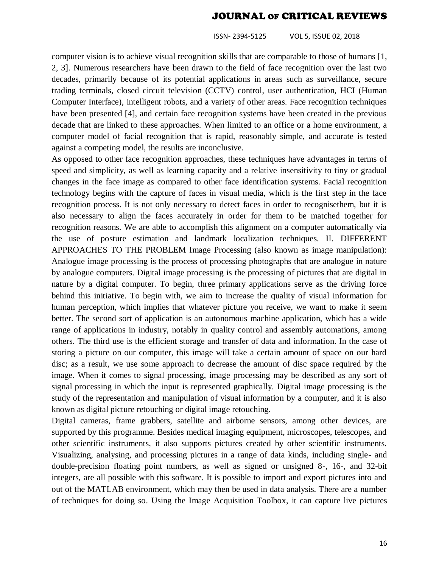ISSN- 2394-5125 VOL 5, ISSUE 02, 2018

computer vision is to achieve visual recognition skills that are comparable to those of humans [1, 2, 3]. Numerous researchers have been drawn to the field of face recognition over the last two decades, primarily because of its potential applications in areas such as surveillance, secure trading terminals, closed circuit television (CCTV) control, user authentication, HCI (Human Computer Interface), intelligent robots, and a variety of other areas. Face recognition techniques have been presented [4], and certain face recognition systems have been created in the previous decade that are linked to these approaches. When limited to an office or a home environment, a computer model of facial recognition that is rapid, reasonably simple, and accurate is tested against a competing model, the results are inconclusive.

As opposed to other face recognition approaches, these techniques have advantages in terms of speed and simplicity, as well as learning capacity and a relative insensitivity to tiny or gradual changes in the face image as compared to other face identification systems. Facial recognition technology begins with the capture of faces in visual media, which is the first step in the face recognition process. It is not only necessary to detect faces in order to recognisethem, but it is also necessary to align the faces accurately in order for them to be matched together for recognition reasons. We are able to accomplish this alignment on a computer automatically via the use of posture estimation and landmark localization techniques. II. DIFFERENT APPROACHES TO THE PROBLEM Image Processing (also known as image manipulation): Analogue image processing is the process of processing photographs that are analogue in nature by analogue computers. Digital image processing is the processing of pictures that are digital in nature by a digital computer. To begin, three primary applications serve as the driving force behind this initiative. To begin with, we aim to increase the quality of visual information for human perception, which implies that whatever picture you receive, we want to make it seem better. The second sort of application is an autonomous machine application, which has a wide range of applications in industry, notably in quality control and assembly automations, among others. The third use is the efficient storage and transfer of data and information. In the case of storing a picture on our computer, this image will take a certain amount of space on our hard disc; as a result, we use some approach to decrease the amount of disc space required by the image. When it comes to signal processing, image processing may be described as any sort of signal processing in which the input is represented graphically. Digital image processing is the study of the representation and manipulation of visual information by a computer, and it is also known as digital picture retouching or digital image retouching.

Digital cameras, frame grabbers, satellite and airborne sensors, among other devices, are supported by this programme. Besides medical imaging equipment, microscopes, telescopes, and other scientific instruments, it also supports pictures created by other scientific instruments. Visualizing, analysing, and processing pictures in a range of data kinds, including single- and double-precision floating point numbers, as well as signed or unsigned 8-, 16-, and 32-bit integers, are all possible with this software. It is possible to import and export pictures into and out of the MATLAB environment, which may then be used in data analysis. There are a number of techniques for doing so. Using the Image Acquisition Toolbox, it can capture live pictures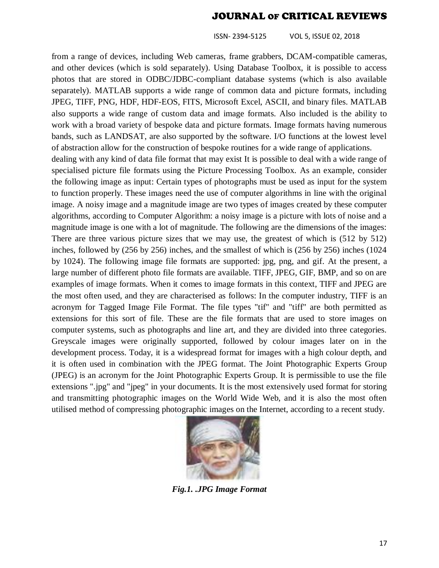ISSN- 2394-5125 VOL 5, ISSUE 02, 2018

from a range of devices, including Web cameras, frame grabbers, DCAM-compatible cameras, and other devices (which is sold separately). Using Database Toolbox, it is possible to access photos that are stored in ODBC/JDBC-compliant database systems (which is also available separately). MATLAB supports a wide range of common data and picture formats, including JPEG, TIFF, PNG, HDF, HDF-EOS, FITS, Microsoft Excel, ASCII, and binary files. MATLAB also supports a wide range of custom data and image formats. Also included is the ability to work with a broad variety of bespoke data and picture formats. Image formats having numerous bands, such as LANDSAT, are also supported by the software. I/O functions at the lowest level of abstraction allow for the construction of bespoke routines for a wide range of applications.

dealing with any kind of data file format that may exist It is possible to deal with a wide range of specialised picture file formats using the Picture Processing Toolbox. As an example, consider the following image as input: Certain types of photographs must be used as input for the system to function properly. These images need the use of computer algorithms in line with the original image. A noisy image and a magnitude image are two types of images created by these computer algorithms, according to Computer Algorithm: a noisy image is a picture with lots of noise and a magnitude image is one with a lot of magnitude. The following are the dimensions of the images: There are three various picture sizes that we may use, the greatest of which is (512 by 512) inches, followed by (256 by 256) inches, and the smallest of which is (256 by 256) inches (1024 by 1024). The following image file formats are supported: jpg, png, and gif. At the present, a large number of different photo file formats are available. TIFF, JPEG, GIF, BMP, and so on are examples of image formats. When it comes to image formats in this context, TIFF and JPEG are the most often used, and they are characterised as follows: In the computer industry, TIFF is an acronym for Tagged Image File Format. The file types "tif" and "tiff" are both permitted as extensions for this sort of file. These are the file formats that are used to store images on computer systems, such as photographs and line art, and they are divided into three categories. Greyscale images were originally supported, followed by colour images later on in the development process. Today, it is a widespread format for images with a high colour depth, and it is often used in combination with the JPEG format. The Joint Photographic Experts Group (JPEG) is an acronym for the Joint Photographic Experts Group. It is permissible to use the file extensions ".jpg" and "jpeg" in your documents. It is the most extensively used format for storing and transmitting photographic images on the World Wide Web, and it is also the most often utilised method of compressing photographic images on the Internet, according to a recent study.



*Fig.1. .JPG Image Format*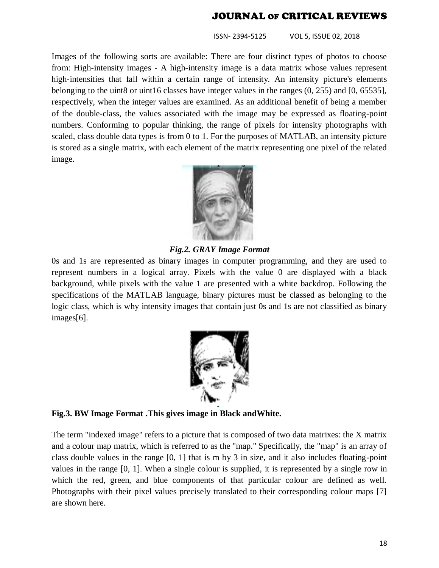ISSN- 2394-5125 VOL 5, ISSUE 02, 2018

Images of the following sorts are available: There are four distinct types of photos to choose from: High-intensity images - A high-intensity image is a data matrix whose values represent high-intensities that fall within a certain range of intensity. An intensity picture's elements belonging to the uint8 or uint16 classes have integer values in the ranges  $(0, 255)$  and  $[0, 65535]$ , respectively, when the integer values are examined. As an additional benefit of being a member of the double-class, the values associated with the image may be expressed as floating-point numbers. Conforming to popular thinking, the range of pixels for intensity photographs with scaled, class double data types is from 0 to 1. For the purposes of MATLAB, an intensity picture is stored as a single matrix, with each element of the matrix representing one pixel of the related image.



*Fig.2. GRAY Image Format*

0s and 1s are represented as binary images in computer programming, and they are used to represent numbers in a logical array. Pixels with the value 0 are displayed with a black background, while pixels with the value 1 are presented with a white backdrop. Following the specifications of the MATLAB language, binary pictures must be classed as belonging to the logic class, which is why intensity images that contain just 0s and 1s are not classified as binary images[6].



**Fig.3. BW Image Format .This gives image in Black andWhite.**

The term "indexed image" refers to a picture that is composed of two data matrixes: the X matrix and a colour map matrix, which is referred to as the "map." Specifically, the "map" is an array of class double values in the range [0, 1] that is m by 3 in size, and it also includes floating-point values in the range [0, 1]. When a single colour is supplied, it is represented by a single row in which the red, green, and blue components of that particular colour are defined as well. Photographs with their pixel values precisely translated to their corresponding colour maps [7] are shown here.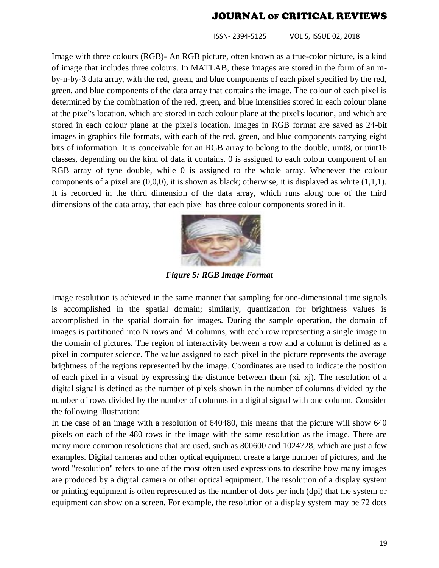ISSN- 2394-5125 VOL 5, ISSUE 02, 2018

Image with three colours (RGB)- An RGB picture, often known as a true-color picture, is a kind of image that includes three colours. In MATLAB, these images are stored in the form of an mby-n-by-3 data array, with the red, green, and blue components of each pixel specified by the red, green, and blue components of the data array that contains the image. The colour of each pixel is determined by the combination of the red, green, and blue intensities stored in each colour plane at the pixel's location, which are stored in each colour plane at the pixel's location, and which are stored in each colour plane at the pixel's location. Images in RGB format are saved as 24-bit images in graphics file formats, with each of the red, green, and blue components carrying eight bits of information. It is conceivable for an RGB array to belong to the double, uint8, or uint16 classes, depending on the kind of data it contains. 0 is assigned to each colour component of an RGB array of type double, while 0 is assigned to the whole array. Whenever the colour components of a pixel are  $(0,0,0)$ , it is shown as black; otherwise, it is displayed as white  $(1,1,1)$ . It is recorded in the third dimension of the data array, which runs along one of the third dimensions of the data array, that each pixel has three colour components stored in it.



*Figure 5: RGB Image Format*

Image resolution is achieved in the same manner that sampling for one-dimensional time signals is accomplished in the spatial domain; similarly, quantization for brightness values is accomplished in the spatial domain for images. During the sample operation, the domain of images is partitioned into N rows and M columns, with each row representing a single image in the domain of pictures. The region of interactivity between a row and a column is defined as a pixel in computer science. The value assigned to each pixel in the picture represents the average brightness of the regions represented by the image. Coordinates are used to indicate the position of each pixel in a visual by expressing the distance between them (xi, xj). The resolution of a digital signal is defined as the number of pixels shown in the number of columns divided by the number of rows divided by the number of columns in a digital signal with one column. Consider the following illustration:

In the case of an image with a resolution of 640480, this means that the picture will show 640 pixels on each of the 480 rows in the image with the same resolution as the image. There are many more common resolutions that are used, such as 800600 and 1024728, which are just a few examples. Digital cameras and other optical equipment create a large number of pictures, and the word "resolution" refers to one of the most often used expressions to describe how many images are produced by a digital camera or other optical equipment. The resolution of a display system or printing equipment is often represented as the number of dots per inch (dpi) that the system or equipment can show on a screen. For example, the resolution of a display system may be 72 dots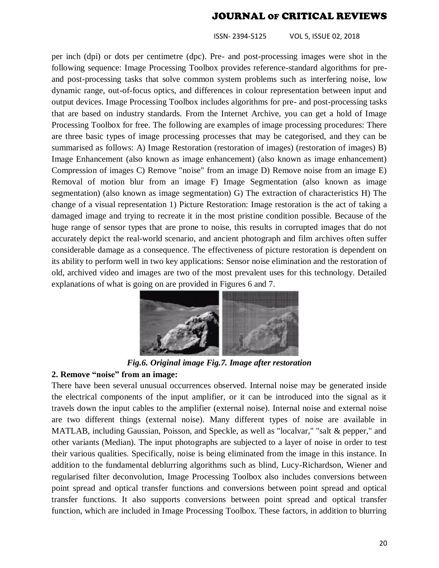ISSN- 2394-5125 VOL 5, ISSUE 02, 2018

per inch (dpi) or dots per centimetre (dpc). Pre- and post-processing images were shot in the following sequence: Image Processing Toolbox provides reference-standard algorithms for preand post-processing tasks that solve common system problems such as interfering noise, low dynamic range, out-of-focus optics, and differences in colour representation between input and output devices. Image Processing Toolbox includes algorithms for pre- and post-processing tasks that are based on industry standards. From the Internet Archive, you can get a hold of Image Processing Toolbox for free. The following are examples of image processing procedures: There are three basic types of image processing processes that may be categorised, and they can be summarised as follows: A) Image Restoration (restoration of images) (restoration of images) B) Image Enhancement (also known as image enhancement) (also known as image enhancement) Compression of images C) Remove "noise" from an image D) Remove noise from an image E) Removal of motion blur from an image F) Image Segmentation (also known as image segmentation) (also known as image segmentation) G) The extraction of characteristics H) The change of a visual representation 1) Picture Restoration: Image restoration is the act of taking a damaged image and trying to recreate it in the most pristine condition possible. Because of the huge range of sensor types that are prone to noise, this results in corrupted images that do not accurately depict the real-world scenario, and ancient photograph and film archives often suffer considerable damage as a consequence. The effectiveness of picture restoration is dependent on its ability to perform well in two key applications: Sensor noise elimination and the restoration of old, archived video and images are two of the most prevalent uses for this technology. Detailed explanations of what is going on are provided in Figures 6 and 7.



*Fig.6. Original image Fig.7. Image after restoration*

### **2. Remove "noise" from an image:**

There have been several unusual occurrences observed. Internal noise may be generated inside the electrical components of the input amplifier, or it can be introduced into the signal as it travels down the input cables to the amplifier (external noise). Internal noise and external noise are two different things (external noise). Many different types of noise are available in MATLAB, including Gaussian, Poisson, and Speckle, as well as "localvar," "salt & pepper," and other variants (Median). The input photographs are subjected to a layer of noise in order to test their various qualities. Specifically, noise is being eliminated from the image in this instance. In addition to the fundamental deblurring algorithms such as blind, Lucy-Richardson, Wiener and regularised filter deconvolution, Image Processing Toolbox also includes conversions between point spread and optical transfer functions and conversions between point spread and optical transfer functions. It also supports conversions between point spread and optical transfer function, which are included in Image Processing Toolbox. These factors, in addition to blurring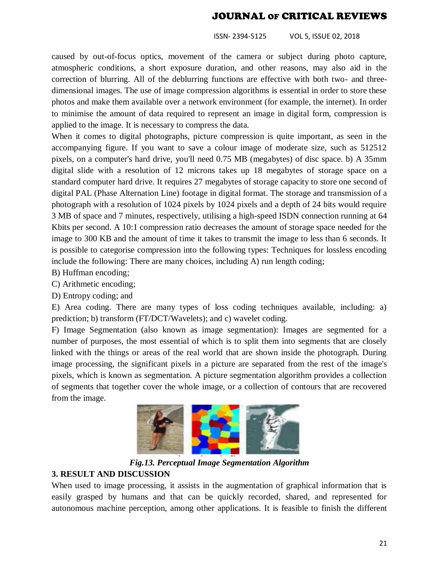ISSN- 2394-5125 VOL 5, ISSUE 02, 2018

caused by out-of-focus optics, movement of the camera or subject during photo capture, atmospheric conditions, a short exposure duration, and other reasons, may also aid in the correction of blurring. All of the deblurring functions are effective with both two- and threedimensional images. The use of image compression algorithms is essential in order to store these photos and make them available over a network environment (for example, the internet). In order to minimise the amount of data required to represent an image in digital form, compression is applied to the image. It is necessary to compress the data.

When it comes to digital photographs, picture compression is quite important, as seen in the accompanying figure. If you want to save a colour image of moderate size, such as 512512 pixels, on a computer's hard drive, you'll need 0.75 MB (megabytes) of disc space. b) A 35mm digital slide with a resolution of 12 microns takes up 18 megabytes of storage space on a standard computer hard drive. It requires 27 megabytes of storage capacity to store one second of digital PAL (Phase Alternation Line) footage in digital format. The storage and transmission of a photograph with a resolution of 1024 pixels by 1024 pixels and a depth of 24 bits would require 3 MB of space and 7 minutes, respectively, utilising a high-speed ISDN connection running at 64 Kbits per second. A 10:1 compression ratio decreases the amount of storage space needed for the image to 300 KB and the amount of time it takes to transmit the image to less than 6 seconds. It is possible to categorise compression into the following types: Techniques for lossless encoding include the following: There are many choices, including A) run length coding;

- B) Huffman encoding;
- C) Arithmetic encoding;
- D) Entropy coding; and

E) Area coding. There are many types of loss coding techniques available, including: a) prediction; b) transform (FT/DCT/Wavelets); and c) wavelet coding.

F) Image Segmentation (also known as image segmentation): Images are segmented for a number of purposes, the most essential of which is to split them into segments that are closely linked with the things or areas of the real world that are shown inside the photograph. During image processing, the significant pixels in a picture are separated from the rest of the image's pixels, which is known as segmentation. A picture segmentation algorithm provides a collection of segments that together cover the whole image, or a collection of contours that are recovered from the image.



*Fig.13. Perceptual Image Segmentation Algorithm*

## **3. RESULT AND DISCUSSION**

When used to image processing, it assists in the augmentation of graphical information that is easily grasped by humans and that can be quickly recorded, shared, and represented for autonomous machine perception, among other applications. It is feasible to finish the different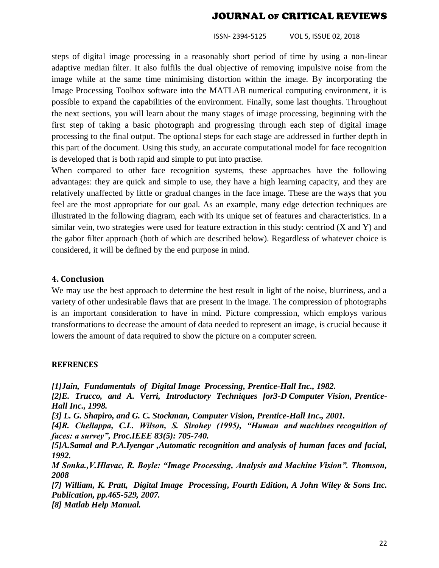ISSN- 2394-5125 VOL 5, ISSUE 02, 2018

steps of digital image processing in a reasonably short period of time by using a non-linear adaptive median filter. It also fulfils the dual objective of removing impulsive noise from the image while at the same time minimising distortion within the image. By incorporating the Image Processing Toolbox software into the MATLAB numerical computing environment, it is possible to expand the capabilities of the environment. Finally, some last thoughts. Throughout the next sections, you will learn about the many stages of image processing, beginning with the first step of taking a basic photograph and progressing through each step of digital image processing to the final output. The optional steps for each stage are addressed in further depth in this part of the document. Using this study, an accurate computational model for face recognition is developed that is both rapid and simple to put into practise.

When compared to other face recognition systems, these approaches have the following advantages: they are quick and simple to use, they have a high learning capacity, and they are relatively unaffected by little or gradual changes in the face image. These are the ways that you feel are the most appropriate for our goal. As an example, many edge detection techniques are illustrated in the following diagram, each with its unique set of features and characteristics. In a similar vein, two strategies were used for feature extraction in this study: centriod (X and Y) and the gabor filter approach (both of which are described below). Regardless of whatever choice is considered, it will be defined by the end purpose in mind.

#### **4. Conclusion**

We may use the best approach to determine the best result in light of the noise, blurriness, and a variety of other undesirable flaws that are present in the image. The compression of photographs is an important consideration to have in mind. Picture compression, which employs various transformations to decrease the amount of data needed to represent an image, is crucial because it lowers the amount of data required to show the picture on a computer screen.

#### **REFRENCES**

*[1]Jain, Fundamentals of Digital Image Processing, Prentice-Hall Inc., 1982.* 

*[2]E. Trucco, and A. Verri, Introductory Techniques for3-D Computer Vision, Prentice-Hall Inc., 1998.* 

*[3] L. G. Shapiro, and G. C. Stockman, Computer Vision, Prentice-Hall Inc., 2001.*

*[4]R. Chellappa, C.L. Wilson, S. Sirohey (1995), "Human and machines recognition of faces: a survey", Proc.IEEE 83(5): 705-740.* 

*[5]A.Samal and P.A.Iyengar ,Automatic recognition and analysis of human faces and facial, 1992.*

*M Sonka.,V.Hlavac, R. Boyle: "Image Processing, Analysis and Machine Vision". Thomson, 2008* 

*[7] William, K. Pratt, Digital Image Processing, Fourth Edition, A John Wiley & Sons Inc. Publication, pp.465-529, 2007.* 

*[8] Matlab Help Manual.*